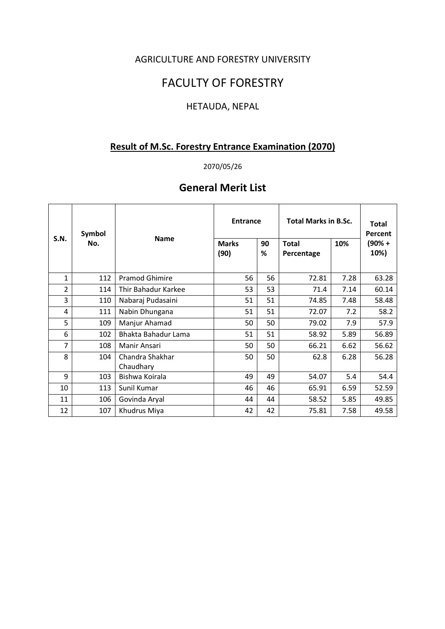### AGRICULTURE AND FORESTRY UNIVERSITY

## FACULTY OF FORESTRY

## HETAUDA, NEPAL

## **Result of M.Sc. Forestry Entrance Examination (2070)**

### 2070/05/26

## **General Merit List**

| <b>S.N.</b>    | Symbol<br>No. | <b>Name</b>                  | <b>Entrance</b>      |         | <b>Total Marks in B.Sc.</b> | <b>Total</b><br>Percent |                |
|----------------|---------------|------------------------------|----------------------|---------|-----------------------------|-------------------------|----------------|
|                |               |                              | <b>Marks</b><br>(90) | 90<br>℅ | <b>Total</b><br>Percentage  | 10%                     | (90% +<br>10%) |
| $\mathbf{1}$   | 112           | <b>Pramod Ghimire</b>        | 56                   | 56      | 72.81                       | 7.28                    | 63.28          |
| $\overline{2}$ | 114           | Thir Bahadur Karkee          | 53                   | 53      | 71.4                        | 7.14                    | 60.14          |
| 3              | 110           | Nabaraj Pudasaini            | 51                   | 51      | 74.85                       | 7.48                    | 58.48          |
| 4              | 111           | Nabin Dhungana               | 51                   | 51      | 72.07                       | 7.2                     | 58.2           |
| 5              | 109           | Manjur Ahamad                | 50                   | 50      | 79.02                       | 7.9                     | 57.9           |
| 6              | 102           | Bhakta Bahadur Lama          | 51                   | 51      | 58.92                       | 5.89                    | 56.89          |
| 7              | 108           | Manir Ansari                 | 50                   | 50      | 66.21                       | 6.62                    | 56.62          |
| 8              | 104           | Chandra Shakhar<br>Chaudhary | 50                   | 50      | 62.8                        | 6.28                    | 56.28          |
| 9              | 103           | Bishwa Koirala               | 49                   | 49      | 54.07                       | 5.4                     | 54.4           |
| 10             | 113           | Sunil Kumar                  | 46                   | 46      | 65.91                       | 6.59                    | 52.59          |
| 11             | 106           | Govinda Aryal                | 44                   | 44      | 58.52                       | 5.85                    | 49.85          |
| 12             | 107           | Khudrus Miya                 | 42                   | 42      | 75.81                       | 7.58                    | 49.58          |